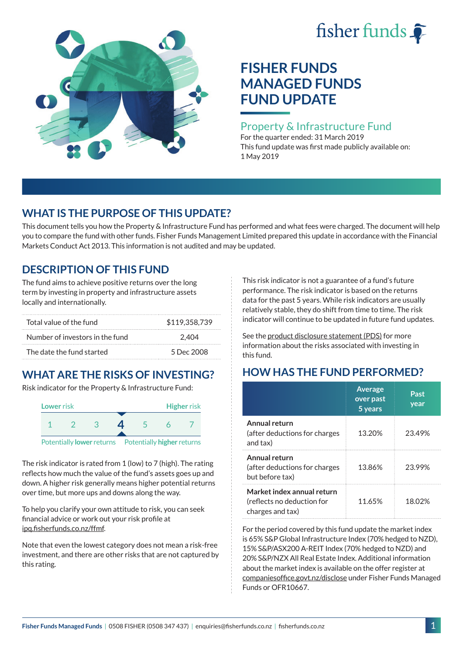# fisher funds  $\hat{\bullet}$



# **FISHER FUNDS MANAGED FUNDS FUND UPDATE**

### Property & Infrastructure Fund

For the quarter ended: 31 March 2019 This fund update was first made publicly available on: 1 May 2019

## **WHAT IS THE PURPOSE OF THIS UPDATE?**

This document tells you how the Property & Infrastructure Fund has performed and what fees were charged. The document will help you to compare the fund with other funds. Fisher Funds Management Limited prepared this update in accordance with the Financial Markets Conduct Act 2013. This information is not audited and may be updated.

## **DESCRIPTION OF THIS FUND**

The fund aims to achieve positive returns over the long term by investing in property and infrastructure assets locally and internationally.

| Total value of the fund         | \$119,358,739 |
|---------------------------------|---------------|
| Number of investors in the fund | 2.404         |
| The date the fund started       | 5 Dec 2008    |

## **WHAT ARE THE RISKS OF INVESTING?**

Risk indicator for the Property & Infrastructure Fund:



The risk indicator is rated from 1 (low) to 7 (high). The rating reflects how much the value of the fund's assets goes up and down. A higher risk generally means higher potential returns over time, but more ups and downs along the way.

To help you clarify your own attitude to risk, you can seek financial advice or work out your risk profile at [ipq.fisherfunds.co.nz/ffmf](https://ipq.fisherfunds.co.nz/ffmf).

Note that even the lowest category does not mean a risk-free investment, and there are other risks that are not captured by this rating.

This risk indicator is not a guarantee of a fund's future performance. The risk indicator is based on the returns data for the past 5 years. While risk indicators are usually relatively stable, they do shift from time to time. The risk indicator will continue to be updated in future fund updates.

See the [product disclosure statement \(PDS\)](https://fisherfunds.co.nz/assets/PDS/Fisher-Funds-Managed-Funds-PDS.pdf) for more information about the risks associated with investing in this fund.

# **HOW HAS THE FUND PERFORMED?**

|                                                                              | <b>Average</b><br>over past<br>5 years | Past<br>year |
|------------------------------------------------------------------------------|----------------------------------------|--------------|
| Annual return<br>(after deductions for charges<br>and tax)                   | 13.20%                                 | 23.49%       |
| Annual return<br>(after deductions for charges<br>but before tax)            | 13.86%                                 | 23.99%       |
| Market index annual return<br>(reflects no deduction for<br>charges and tax) | 11.65%                                 | 18.02%       |

For the period covered by this fund update the market index is 65% S&P Global Infrastructure Index (70% hedged to NZD), 15% S&P/ASX200 A-REIT Index (70% hedged to NZD) and 20% S&P/NZX All Real Estate Index. Additional information about the market index is available on the offer register at [companiesoffice.govt.nz/disclose](http://companiesoffice.govt.nz/disclose) under Fisher Funds Managed Funds or OFR10667.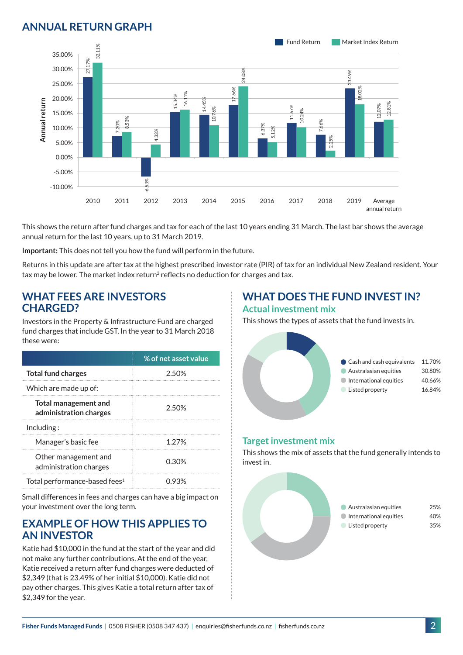## **ANNUAL RETURN GRAPH**



This shows the return after fund charges and tax for each of the last 10 years ending 31 March. The last bar shows the average annual return for the last 10 years, up to 31 March 2019.

**Important:** This does not tell you how the fund will perform in the future.

Returns in this update are after tax at the highest prescribed investor rate (PIR) of tax for an individual New Zealand resident. Your tax may be lower. The market index return<sup>2</sup> reflects no deduction for charges and tax.

#### **WHAT FEES ARE INVESTORS CHARGED?**

Investors in the Property & Infrastructure Fund are charged fund charges that include GST. In the year to 31 March 2018 these were:

|                                                       | % of net asset value |
|-------------------------------------------------------|----------------------|
| <b>Total fund charges</b>                             | 2.50%                |
| Which are made up of:                                 |                      |
| <b>Total management and</b><br>administration charges | 2.50%                |
| Inding:                                               |                      |
| Manager's basic fee                                   | 1 2 7 %              |
| Other management and<br>administration charges        | 0.30%                |
| Total performance-based fees <sup>1</sup>             | () 93%               |

Small differences in fees and charges can have a big impact on your investment over the long term.

### **EXAMPLE OF HOW THIS APPLIES TO AN INVESTOR**

Katie had \$10,000 in the fund at the start of the year and did not make any further contributions. At the end of the year, Katie received a return after fund charges were deducted of \$2,349 (that is 23.49% of her initial \$10,000). Katie did not pay other charges. This gives Katie a total return after tax of \$2,349 for the year.

# **WHAT DOES THE FUND INVEST IN?**

#### **Actual investment mix**

This shows the types of assets that the fund invests in.



#### **Target investment mix**

This shows the mix of assets that the fund generally intends to invest in.